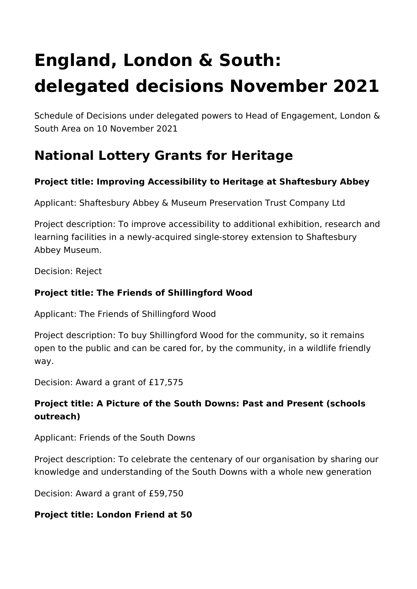# **England, London & South: delegated decisions November 2021**

Schedule of Decisions under delegated powers to Head of Engagement, London & South Area on 10 November 2021

# **National Lottery Grants for Heritage**

# **Project title: Improving Accessibility to Heritage at Shaftesbury Abbey**

Applicant: Shaftesbury Abbey & Museum Preservation Trust Company Ltd

Project description: To improve accessibility to additional exhibition, research and learning facilities in a newly-acquired single-storey extension to Shaftesbury Abbey Museum.

Decision: Reject

# **Project title: The Friends of Shillingford Wood**

Applicant: The Friends of Shillingford Wood

Project description: To buy Shillingford Wood for the community, so it remains open to the public and can be cared for, by the community, in a wildlife friendly way.

Decision: Award a grant of £17,575

# **Project title: A Picture of the South Downs: Past and Present (schools outreach)**

Applicant: Friends of the South Downs

Project description: To celebrate the centenary of our organisation by sharing our knowledge and understanding of the South Downs with a whole new generation

Decision: Award a grant of £59,750

# **Project title: London Friend at 50**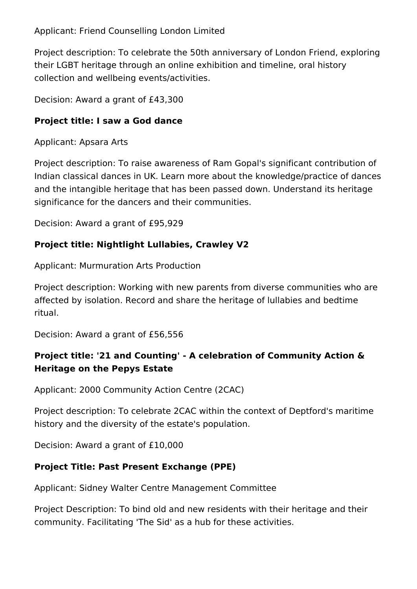Applicant: Friend Counselling London Limited

Project description: To celebrate the 50th anniversary of London Friend, exploring their LGBT heritage through an online exhibition and timeline, oral history collection and wellbeing events/activities.

Decision: Award a grant of £43,300

# **Project title: I saw a God dance**

Applicant: Apsara Arts

Project description: To raise awareness of Ram Gopal's significant contribution of Indian classical dances in UK. Learn more about the knowledge/practice of dances and the intangible heritage that has been passed down. Understand its heritage significance for the dancers and their communities.

Decision: Award a grant of £95,929

# **Project title: Nightlight Lullabies, Crawley V2**

Applicant: Murmuration Arts Production

Project description: Working with new parents from diverse communities who are affected by isolation. Record and share the heritage of lullabies and bedtime ritual.

Decision: Award a grant of £56,556

# **Project title: '21 and Counting' - A celebration of Community Action & Heritage on the Pepys Estate**

Applicant: 2000 Community Action Centre (2CAC)

Project description: To celebrate 2CAC within the context of Deptford's maritime history and the diversity of the estate's population.

Decision: Award a grant of £10,000

# **Project Title: Past Present Exchange (PPE)**

Applicant: Sidney Walter Centre Management Committee

Project Description: To bind old and new residents with their heritage and their community. Facilitating 'The Sid' as a hub for these activities.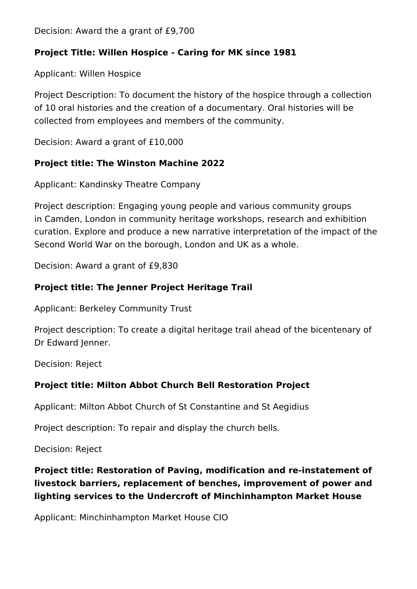Decision: Award the a grant of £9,700

#### **Project Title: Willen Hospice - Caring for MK since 1981**

Applicant: Willen Hospice

Project Description: To document the history of the hospice through a collection of 10 oral histories and the creation of a documentary. Oral histories will be collected from employees and members of the community.

Decision: Award a grant of £10,000

#### **Project title: The Winston Machine 2022**

Applicant: Kandinsky Theatre Company

Project description: Engaging young people and various community groups in Camden, London in community heritage workshops, research and exhibition curation. Explore and produce a new narrative interpretation of the impact of the Second World War on the borough, London and UK as a whole.

Decision: Award a grant of £9,830

#### **Project title: The Jenner Project Heritage Trail**

Applicant: Berkeley Community Trust

Project description: To create a digital heritage trail ahead of the bicentenary of Dr Edward Jenner.

Decision: Reject

#### **Project title: Milton Abbot Church Bell Restoration Project**

Applicant: Milton Abbot Church of St Constantine and St Aegidius

Project description: To repair and display the church bells.

Decision: Reject

# **Project title: Restoration of Paving, modification and re-instatement of livestock barriers, replacement of benches, improvement of power and lighting services to the Undercroft of Minchinhampton Market House**

Applicant: Minchinhampton Market House CIO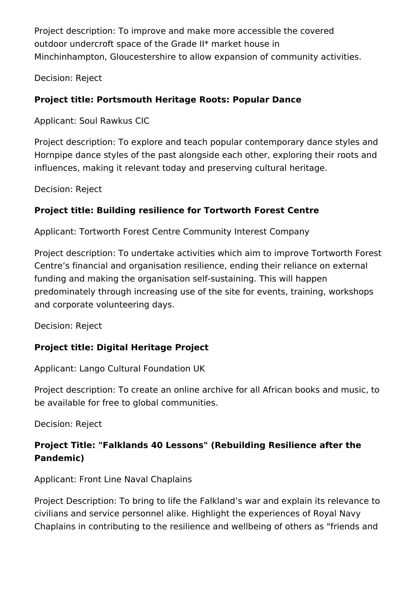Project description: To improve and make more accessible the covered outdoor undercroft space of the Grade II\* market house in Minchinhampton, Gloucestershire to allow expansion of community activities.

Decision: Reject

#### **Project title: Portsmouth Heritage Roots: Popular Dance**

Applicant: Soul Rawkus CIC

Project description: To explore and teach popular contemporary dance styles and Hornpipe dance styles of the past alongside each other, exploring their roots and influences, making it relevant today and preserving cultural heritage.

Decision: Reject

#### **Project title: Building resilience for Tortworth Forest Centre**

Applicant: Tortworth Forest Centre Community Interest Company

Project description: To undertake activities which aim to improve Tortworth Forest Centre's financial and organisation resilience, ending their reliance on external funding and making the organisation self-sustaining. This will happen predominately through increasing use of the site for events, training, workshops and corporate volunteering days.

Decision: Reject

#### **Project title: Digital Heritage Project**

Applicant: Lango Cultural Foundation UK

Project description: To create an online archive for all African books and music, to be available for free to global communities.

Decision: Reject

# **Project Title: "Falklands 40 Lessons" (Rebuilding Resilience after the Pandemic)**

Applicant: Front Line Naval Chaplains

Project Description: To bring to life the Falkland's war and explain its relevance to civilians and service personnel alike. Highlight the experiences of Royal Navy Chaplains in contributing to the resilience and wellbeing of others as "friends and